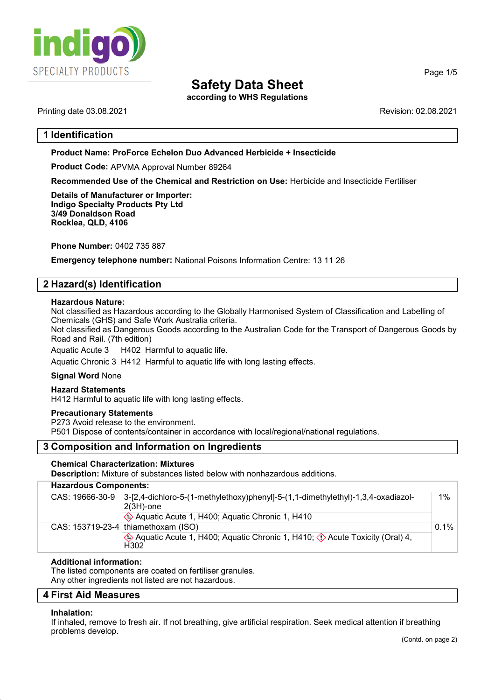

according to WHS Regulations

### Printing date 03.08.2021 Revision: 02.08.2021

# 1 Identification

Product Name: **ProForce Echelon Duo Advanced Herbicide + Insecticide**

Product Code: APVMA Approval Number 89264

Recommended Use of the Chemical and Restriction on Use: Herbicide and Insecticide Fertiliser

Details of Manufacturer or Importer: **Indigo Specialty Products Pty Ltd 3/49 Donaldson Road Rocklea, QLD, 4106**

Phone Number: 0402 735 887

Emergency telephone number: National Poisons Information Centre: 13 11 26

# 2 Hazard(s) Identification

### Hazardous Nature:

Not classified as Hazardous according to the Globally Harmonised System of Classification and Labelling of Chemicals (GHS) and Safe Work Australia criteria.

Not classified as Dangerous Goods according to the Australian Code for the Transport of Dangerous Goods by Road and Rail. (7th edition)

Aquatic Acute 3 H402 Harmful to aquatic life.

Aquatic Chronic 3 H412 Harmful to aquatic life with long lasting effects.

### Signal Word None

### Hazard Statements

H412 Harmful to aquatic life with long lasting effects.

### Precautionary Statements

P273 Avoid release to the environment. P501 Dispose of contents/container in accordance with local/regional/national regulations.

# 3 Composition and Information on Ingredients

### Chemical Characterization: Mixtures

Description: Mixture of substances listed below with nonhazardous additions.

### Hazardous Components:

|  | CAS: 19666-30-9 | 3-[2,4-dichloro-5-(1-methylethoxy)phenyl]-5-(1,1-dimethylethyl)-1,3,4-oxadiazol-<br>$2(3H)$ -one       | $1\%$   |
|--|-----------------|--------------------------------------------------------------------------------------------------------|---------|
|  |                 | Aquatic Acute 1, H400; Aquatic Chronic 1, H410                                                         |         |
|  |                 | CAS: $153719-23-4$ thiamethoxam (ISO)                                                                  | $0.1\%$ |
|  |                 | $\Diamond$ Aquatic Acute 1, H400; Aquatic Chronic 1, H410; $\Diamond$ Acute Toxicity (Oral) 4,<br>H302 |         |

### Additional information:

The listed components are coated on fertiliser granules. Any other ingredients not listed are not hazardous.

### 4 First Aid Measures

#### Inhalation:

52.0

If inhaled, remove to fresh air. If not breathing, give artificial respiration. Seek medical attention if breathing problems develop.

Page 1/5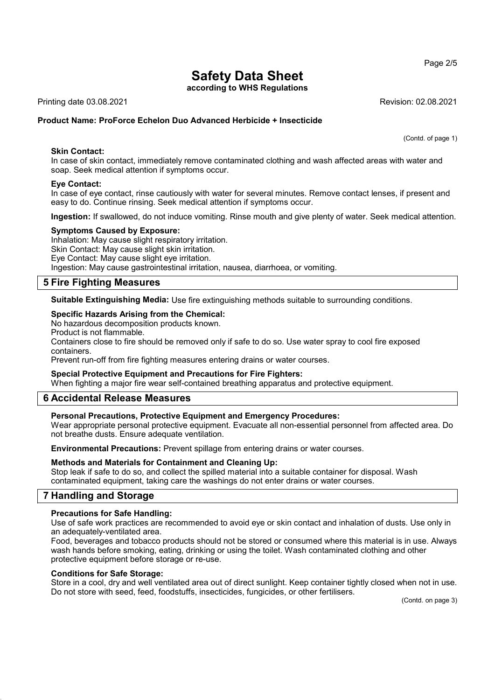according to WHS Regulations

Printing date 03.08.2021 Revision: 02.08.2021

# Product Name: **ProForce Echelon Duo Advanced Herbicide + Insecticide**

(Contd. of page 1)

In case of skin contact, immediately remove contaminated clothing and wash affected areas with water and soap. Seek medical attention if symptoms occur.

### Eye Contact:

Skin Contact:

In case of eye contact, rinse cautiously with water for several minutes. Remove contact lenses, if present and easy to do. Continue rinsing. Seek medical attention if symptoms occur.

Ingestion: If swallowed, do not induce vomiting. Rinse mouth and give plenty of water. Seek medical attention.

### Symptoms Caused by Exposure:

Inhalation: May cause slight respiratory irritation. Skin Contact: May cause slight skin irritation. Eye Contact: May cause slight eye irritation. Ingestion: May cause gastrointestinal irritation, nausea, diarrhoea, or vomiting.

# 5 Fire Fighting Measures

Suitable Extinguishing Media: Use fire extinguishing methods suitable to surrounding conditions.

### Specific Hazards Arising from the Chemical:

No hazardous decomposition products known.

Product is not flammable.

Containers close to fire should be removed only if safe to do so. Use water spray to cool fire exposed containers.

Prevent run-off from fire fighting measures entering drains or water courses.

### Special Protective Equipment and Precautions for Fire Fighters:

When fighting a major fire wear self-contained breathing apparatus and protective equipment.

# 6 Accidental Release Measures

### Personal Precautions, Protective Equipment and Emergency Procedures:

Wear appropriate personal protective equipment. Evacuate all non-essential personnel from affected area. Do not breathe dusts. Ensure adequate ventilation.

Environmental Precautions: Prevent spillage from entering drains or water courses.

### Methods and Materials for Containment and Cleaning Up:

Stop leak if safe to do so, and collect the spilled material into a suitable container for disposal. Wash contaminated equipment, taking care the washings do not enter drains or water courses.

### 7 Handling and Storage

### Precautions for Safe Handling:

Use of safe work practices are recommended to avoid eye or skin contact and inhalation of dusts. Use only in an adequately-ventilated area.

Food, beverages and tobacco products should not be stored or consumed where this material is in use. Always wash hands before smoking, eating, drinking or using the toilet. Wash contaminated clothing and other protective equipment before storage or re-use.

### Conditions for Safe Storage:

Store in a cool, dry and well ventilated area out of direct sunlight. Keep container tightly closed when not in use. Do not store with seed, feed, foodstuffs, insecticides, fungicides, or other fertilisers.

(Contd. on page 3)

Page 2/5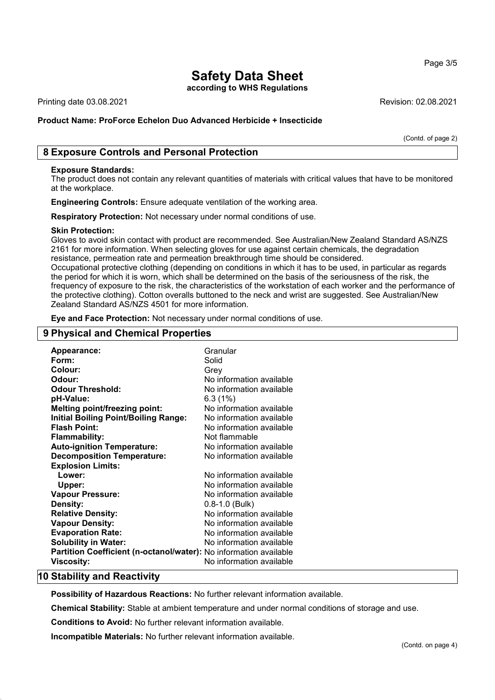according to WHS Regulations

Printing date 03.08.2021 Revision: 02.08.2021

### Product Name: **ProForce Echelon Duo Advanced Herbicide + Insecticide**

(Contd. of page 2)

Page 3/5

# 8 Exposure Controls and Personal Protection

#### Exposure Standards:

The product does not contain any relevant quantities of materials with critical values that have to be monitored at the workplace.

Engineering Controls: Ensure adequate ventilation of the working area.

Respiratory Protection: Not necessary under normal conditions of use.

#### Skin Protection:

Gloves to avoid skin contact with product are recommended. See Australian/New Zealand Standard AS/NZS 2161 for more information. When selecting gloves for use against certain chemicals, the degradation resistance, permeation rate and permeation breakthrough time should be considered. Occupational protective clothing (depending on conditions in which it has to be used, in particular as regards

the period for which it is worn, which shall be determined on the basis of the seriousness of the risk, the frequency of exposure to the risk, the characteristics of the workstation of each worker and the performance of the protective clothing). Cotton overalls buttoned to the neck and wrist are suggested. See Australian/New Zealand Standard AS/NZS 4501 for more information.

Eye and Face Protection: Not necessary under normal conditions of use.

# 9 Physical and Chemical Properties

| Appearance:                                                       | Granular                 |
|-------------------------------------------------------------------|--------------------------|
| Form:                                                             | Solid                    |
| Colour:                                                           | Grey                     |
| Odour:                                                            | No information available |
| <b>Odour Threshold:</b>                                           | No information available |
| pH-Value:                                                         | 6.3(1%)                  |
| <b>Melting point/freezing point:</b>                              | No information available |
| <b>Initial Boiling Point/Boiling Range:</b>                       | No information available |
| <b>Flash Point:</b>                                               | No information available |
| <b>Flammability:</b>                                              | Not flammable            |
| <b>Auto-ignition Temperature:</b>                                 | No information available |
| <b>Decomposition Temperature:</b>                                 | No information available |
| <b>Explosion Limits:</b>                                          |                          |
| Lower:                                                            | No information available |
| Upper:                                                            | No information available |
| <b>Vapour Pressure:</b>                                           | No information available |
| Density:                                                          | $0.8 - 1.0$ (Bulk)       |
| <b>Relative Density:</b>                                          | No information available |
| <b>Vapour Density:</b>                                            | No information available |
| <b>Evaporation Rate:</b>                                          | No information available |
| <b>Solubility in Water:</b>                                       | No information available |
| Partition Coefficient (n-octanol/water): No information available |                          |
| <b>Viscosity:</b>                                                 | No information available |

### 10 Stability and Reactivity

Possibility of Hazardous Reactions: No further relevant information available.

Chemical Stability: Stable at ambient temperature and under normal conditions of storage and use.

Conditions to Avoid: No further relevant information available.

Incompatible Materials: No further relevant information available.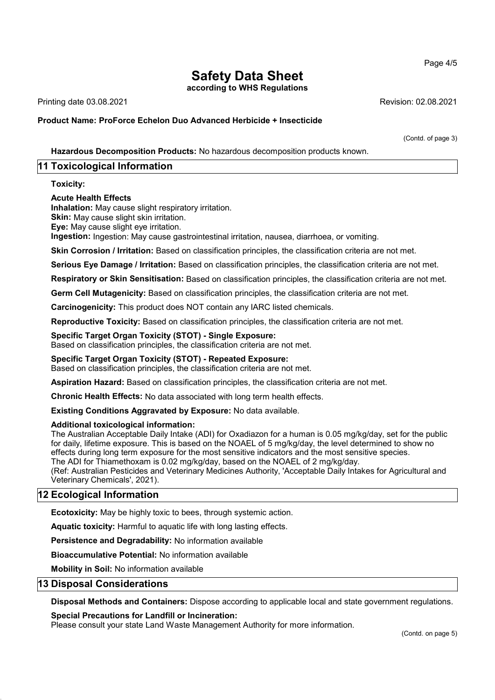according to WHS Regulations

Printing date 03.08.2021 Revision: 02.08.2021

Product Name: **ProForce Echelon Duo Advanced Herbicide + Insecticide**

(Contd. of page 3)

Hazardous Decomposition Products: No hazardous decomposition products known.

# 11 Toxicological Information

Toxicity:

### Acute Health Effects

Inhalation: May cause slight respiratory irritation.

**Skin:** May cause slight skin irritation.

Eye: May cause slight eye irritation.

Ingestion: Ingestion: May cause gastrointestinal irritation, nausea, diarrhoea, or vomiting.

Skin Corrosion / Irritation: Based on classification principles, the classification criteria are not met.

Serious Eye Damage / Irritation: Based on classification principles, the classification criteria are not met.

Respiratory or Skin Sensitisation: Based on classification principles, the classification criteria are not met.

Germ Cell Mutagenicity: Based on classification principles, the classification criteria are not met.

Carcinogenicity: This product does NOT contain any IARC listed chemicals.

Reproductive Toxicity: Based on classification principles, the classification criteria are not met.

### Specific Target Organ Toxicity (STOT) - Single Exposure:

Based on classification principles, the classification criteria are not met.

### Specific Target Organ Toxicity (STOT) - Repeated Exposure:

Based on classification principles, the classification criteria are not met.

Aspiration Hazard: Based on classification principles, the classification criteria are not met.

Chronic Health Effects: No data associated with long term health effects.

Existing Conditions Aggravated by Exposure: No data available.

### Additional toxicological information:

The Australian Acceptable Daily Intake (ADI) for Oxadiazon for a human is 0.05 mg/kg/day, set for the public for daily, lifetime exposure. This is based on the NOAEL of 5 mg/kg/day, the level determined to show no effects during long term exposure for the most sensitive indicators and the most sensitive species. The ADI for Thiamethoxam is 0.02 mg/kg/day, based on the NOAEL of 2 mg/kg/day.

(Ref: Australian Pesticides and Veterinary Medicines Authority, 'Acceptable Daily Intakes for Agricultural and Veterinary Chemicals', 2021).

# 12 Ecological Information

Ecotoxicity: May be highly toxic to bees, through systemic action.

Aquatic toxicity: Harmful to aquatic life with long lasting effects.

Persistence and Degradability: No information available

Bioaccumulative Potential: No information available

Mobility in Soil: No information available

### 13 Disposal Considerations

Disposal Methods and Containers: Dispose according to applicable local and state government regulations.

Special Precautions for Landfill or Incineration:

Please consult your state Land Waste Management Authority for more information.

### Page 4/5